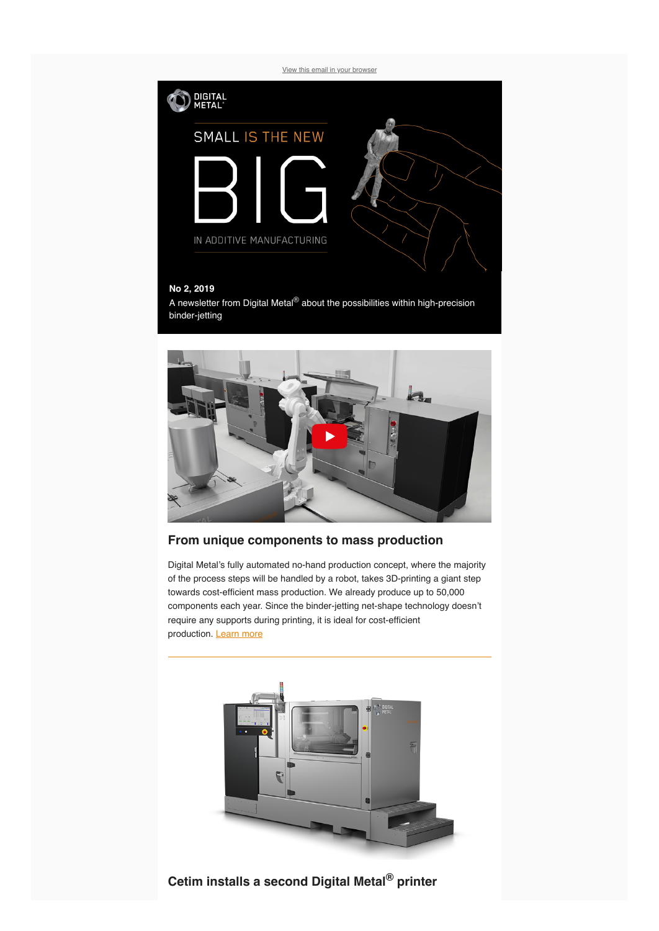[View this email in your browser](https://mailchi.mp/b0c4b644ca2d/digital-metal-towards-mass-production?e=[UNIQID])



#### **No 2, 2019**

A newsletter from Digital Metal® about the possibilities within high-precision binder-jetting



### **From unique components to mass production**

Digital Metal's fully automated no-hand production concept, where the majority of the process steps will be handled by a robot, takes 3D-printing a giant step towards cost-efficient mass production. We already produce up to 50,000 components each year. Since the binder-jetting net-shape technology doesn't require any supports during printing, it is ideal for cost-efficient production. [L](https://digitalmetal.tech/machines/design-and-function/)[earn more](https://digitalmetal.tech/solutions/serial-production/)



**Cetim installs a second Digital Metal® printer**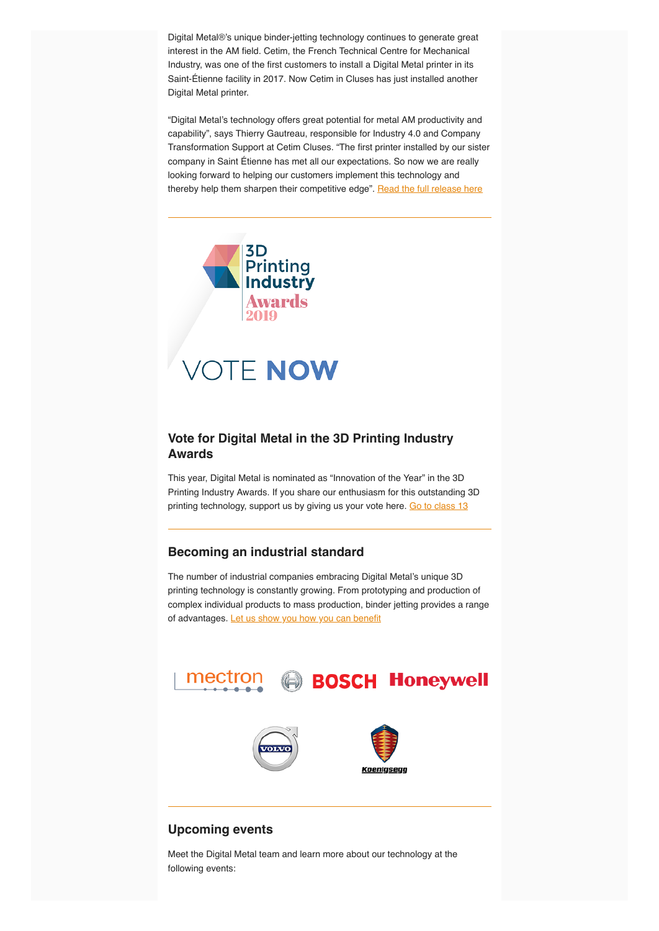Digital Metal®'s unique binder-jetting technology continues to generate great interest in the AM field. Cetim, the French Technical Centre for Mechanical Industry, was one of the first customers to install a Digital Metal printer in its Saint-Étienne facility in 2017. Now Cetim in Cluses has just installed another Digital Metal printer.

"Digital Metal's technology offers great potential for metal AM productivity and capability", says Thierry Gautreau, responsible for Industry 4.0 and Company Transformation Support at Cetim Cluses. "The first printer installed by our sister company in Saint Étienne has met all our expectations. So now we are really looking forward to helping our customers implement this technology and thereby help them sharpen their competitive edge". [Read the full release here](https://digitalmetal.tech/news-and-media/news-flow/)



## **Vote for Digital Metal in the 3D Printing Industry Awards**

This year, Digital Metal is nominated as "Innovation of the Year" in the 3D Printing Industry Awards. If you share our enthusiasm for this outstanding 3D printing technology, support us by giving us your vote here. [Go to class 13](https://3dprintingindustry.com/2019-3dpi-awards-vote-now/)

### **Becoming an industrial standard**

The number of industrial companies embracing Digital Metal's unique 3D printing technology is constantly growing. From prototyping and production of complex individual products to mass production, binder jetting provides a range of advantages. [Let us show you how you can benefit](https://digitalmetal.tech/contact/)



# **Upcoming events**

Meet the Digital Metal team and learn more about our technology at the following events: